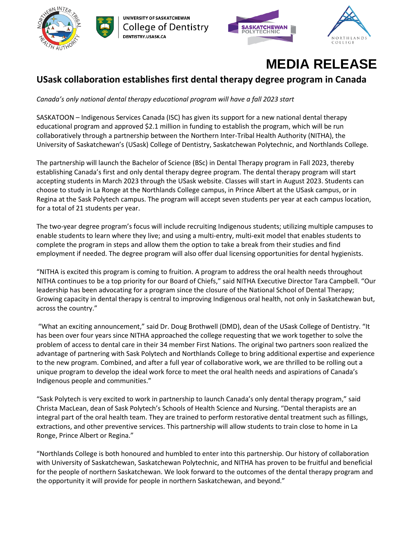





**MEDIA RELEASE**

# **USask collaboration establishes first dental therapy degree program in Canada**

*Canada's only national dental therapy educational program will have a fall 2023 start*

SASKATOON – Indigenous Services Canada (ISC) has given its support for a new national dental therapy educational program and approved \$2.1 million in funding to establish the program, which will be run collaboratively through a partnership between the Northern Inter-Tribal Health Authority (NITHA), the University of Saskatchewan's (USask) College of Dentistry, Saskatchewan Polytechnic, and Northlands College.

The partnership will launch the Bachelor of Science (BSc) in Dental Therapy program in Fall 2023, thereby establishing Canada's first and only dental therapy degree program. The dental therapy program will start accepting students in March 2023 through the USask website. Classes will start in August 2023. Students can choose to study in La Ronge at the Northlands College campus, in Prince Albert at the USask campus, or in Regina at the Sask Polytech campus. The program will accept seven students per year at each campus location, for a total of 21 students per year.

The two-year degree program's focus will include recruiting Indigenous students; utilizing multiple campuses to enable students to learn where they live; and using a multi-entry, multi-exit model that enables students to complete the program in steps and allow them the option to take a break from their studies and find employment if needed. The degree program will also offer dual licensing opportunities for dental hygienists.

"NITHA is excited this program is coming to fruition. A program to address the oral health needs throughout NITHA continues to be a top priority for our Board of Chiefs," said NITHA Executive Director Tara Campbell. "Our leadership has been advocating for a program since the closure of the National School of Dental Therapy; Growing capacity in dental therapy is central to improving Indigenous oral health, not only in Saskatchewan but, across the country."

"What an exciting announcement," said Dr. Doug Brothwell (DMD), dean of the USask College of Dentistry. "It has been over four years since NITHA approached the college requesting that we work together to solve the problem of access to dental care in their 34 member First Nations. The original two partners soon realized the advantage of partnering with Sask Polytech and Northlands College to bring additional expertise and experience to the new program. Combined, and after a full year of collaborative work, we are thrilled to be rolling out a unique program to develop the ideal work force to meet the oral health needs and aspirations of Canada's Indigenous people and communities."

"Sask Polytech is very excited to work in partnership to launch Canada's only dental therapy program," said Christa MacLean, dean of Sask Polytech's Schools of Health Science and Nursing. "Dental therapists are an integral part of the oral health team. They are trained to perform restorative dental treatment such as fillings, extractions, and other preventive services. This partnership will allow students to train close to home in La Ronge, Prince Albert or Regina."

"Northlands College is both honoured and humbled to enter into this partnership. Our history of collaboration with University of Saskatchewan, Saskatchewan Polytechnic, and NITHA has proven to be fruitful and beneficial for the people of northern Saskatchewan. We look forward to the outcomes of the dental therapy program and the opportunity it will provide for people in northern Saskatchewan, and beyond."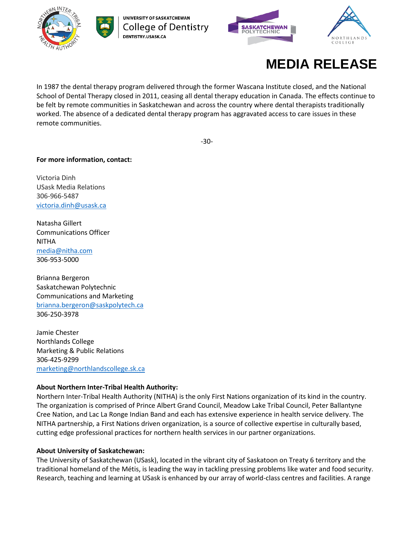









# **MEDIA RELEASE**

In 1987 the dental therapy program delivered through the former Wascana Institute closed, and the National School of Dental Therapy closed in 2011, ceasing all dental therapy education in Canada. The effects continue to be felt by remote communities in Saskatchewan and across the country where dental therapists traditionally worked. The absence of a dedicated dental therapy program has aggravated access to care issues in these remote communities.

-30-

## **For more information, contact:**

Victoria Dinh USask Media Relations 306-966-5487 [victoria.dinh@usask.ca](mailto:victoria.dinh@usask.ca)

Natasha Gillert Communications Officer NITHA [media@nitha.com](mailto:media@nitha.com) 306-953-5000

Brianna Bergeron Saskatchewan Polytechnic Communications and Marketing [brianna.bergeron@saskpolytech.ca](mailto:brianna.bergeron@saskpolytech.ca) 306-250-3978

Jamie Chester Northlands College Marketing & Public Relations 306-425-9299 [marketing@northlandscollege.sk.ca](mailto:marketing@northlandscollege.sk.ca)

## **About Northern Inter-Tribal Health Authority:**

Northern Inter-Tribal Health Authority (NITHA) is the only First Nations organization of its kind in the country. The organization is comprised of Prince Albert Grand Council, Meadow Lake Tribal Council, Peter Ballantyne Cree Nation, and Lac La Ronge Indian Band and each has extensive experience in health service delivery. The NITHA partnership, a First Nations driven organization, is a source of collective expertise in culturally based, cutting edge professional practices for northern health services in our partner organizations.

#### **About University of Saskatchewan:**

The University of Saskatchewan (USask), located in the vibrant city of Saskatoon on Treaty 6 territory and the traditional homeland of the Métis, is leading the way in tackling pressing problems like water and food security. Research, teaching and learning at USask is enhanced by our array of world-class centres and facilities. A range